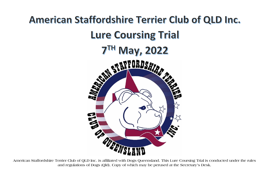

**American Staffordshire Terrier Club of QLD Inc. is affiliated with Dogs Queensland. This Lure Coursing Trial is conducted under the rules and regulations of Dogs (Qld). Copy of which may be perused at the Secretary's Desk.**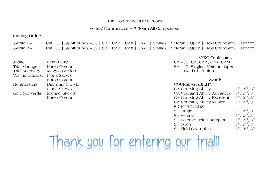# Trial Commences at 8.00am

# Vetting Commences  $\sim$  7.30am All Competitors

**Running Order:** 

| Course $1 -$ | Cat - JC   Sighthounds – JC   CA   CAA   CAX   CAM    Singles   Veteran   Open   Field Champion    Novice |  |  |  |  |  |
|--------------|-----------------------------------------------------------------------------------------------------------|--|--|--|--|--|
| Course $2 -$ | Cat - JC   Sighthounds – JC   CA   CAA   CAX   CAM    Singles   Veteran   Open   Field Champion    Novice |  |  |  |  |  |

| Judge:                        | Leah Perry                   | CA – JC, CA, CAA, CAX, O   |
|-------------------------------|------------------------------|----------------------------|
| Trial Manager:                | Karen Gordon                 | SH – JC, Singles, Veteran. |
| Trial Secretary:              | Maggie Gordon                | Field Champion             |
| Vetting Officers: Fiona Skews |                              |                            |
|                               | Karen Gordon                 | Awards                     |
| Huntmasters:                  | Diarmuid Crowley             | <b>COURSING ABILITY</b>    |
|                               | Fiona Skews                  | <b>CA Coursing Ability</b> |
|                               | Gate Stewards: Michael Skews | CA Coursing Ability Adva   |
|                               | Karen Gordon                 | CA Coursing Ability Excel  |

**ANKC Certificates** CA – JC, CA, CAA, CAX, CAM SH – JC, Singles, Veteran, Open, Field Champion

## Huntmasters: Diarmuid Crowley **COURSING ABILITY**  CA Coursing Ability  $1^{st}$ ,  $2^{nd}$ ,  $3^{rd}$ Gate Stewards: Michael Skews CA Coursing Ability Advanced 1 st, 2nd, 3rd CA Coursing Ability Excellent  $1^{st}$ ,  $2^{nd}$ ,  $3^{rd}$ CA Coursing Ability Master  $1^{st}$ ,  $2^{nd}$ ,  $3^{rd}$ **SIGHTHOUNDS** SH Single  $1^{st}$ ,  $2^{nd}$ ,  $3^{rd}$ SH Veteran 1<sup>st</sup>, 2<sup>nd</sup>, 3<sup>rd</sup> SH Veteran Field Champion 1  $1^{st}$ ,  $2^{nd}$ ,  $3^{rd}$ SH Open  $1^{st}$ ,  $2^{nd}$ ,  $3^{rd}$ SH Field Champion 1 1<sup>st</sup>, 2<sup>nd</sup>, 3<sup>rd</sup>

# hank you for entering our trial!!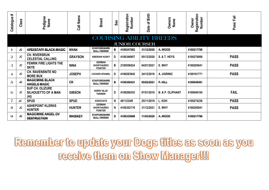| $\ddot{}$<br>Catalogue   | Class     | Pedigree<br>Name                                      | Call Name      | <b>Breed</b>                                          | Sex | Registration<br>Number | of Birth<br>Date | <b>Owners</b><br>Name          | Registration<br>Number<br>Owner | Pass/Fail   |
|--------------------------|-----------|-------------------------------------------------------|----------------|-------------------------------------------------------|-----|------------------------|------------------|--------------------------------|---------------------------------|-------------|
|                          |           |                                                       |                |                                                       |     |                        |                  | <b>COURSING ABILITY BREEDS</b> |                                 |             |
|                          |           |                                                       |                |                                                       |     | <b>JUNIOR COURSER</b>  |                  |                                |                                 |             |
| $\pm$                    | JC        | APEXSTAFF BLACK MAGIC                                 | <b>NYAH</b>    | <b>STAFFORDSHIRE</b><br><b>BULL TERRIER</b>           | B   | 4100347582             | 31/12/2020       | A. WOOD                        | 4100217798                      |             |
| $\overline{2}$           | <b>JC</b> | <b>CH. RIVERSRUN</b><br><b>CELESTIAL CALLING</b>      | <b>GRAYSON</b> | <b>SIBERIAN HUSKY</b>                                 | D   | 4100346957             | 05/12/2020       | <b>S. &amp; T. HEYS</b>        | 4100270006                      | <b>PASS</b> |
| 3                        | <b>JC</b> | <b>FENRIK FIRE LIGHTS THE</b><br><b>SKYE</b>          | <b>NINA</b>    | <b>GERMAN</b><br><b>SHORTHAIRED</b><br><b>POINTER</b> | B   | 2100556524             | 04/01/2021       | E. WHY                         | 4100205041                      | <b>PASS</b> |
| $\overline{\mathcal{L}}$ | <b>JC</b> | <b>CH. RAVENSNITE NO</b><br><b>MORE BUX</b>           | <b>JOSEPH</b>  | <b>COCKER SPANIEL</b>                                 | Ð   | 4100283942             | 24/12/2016       | A. UGRINIC                     | 4100161771                      | <b>PASS</b> |
| 5                        | <b>JC</b> | <b>MAGICMINE BLACK</b><br><b>ANGELS MAGIC</b>         | <b>CK</b>      | <b>STAFFORDSHIRE</b><br><b>BULL TERRIER</b>           | B   | 4100350421             | 05/02/2021       | P.HILL                         | 4100049481                      |             |
| 6                        | JC.       | SUP CH. OLIZURE<br><b>SILHOUETTO OF A MAN</b><br>(Al) | <b>GIBSON</b>  | <b>KERRY BLUE</b><br><b>TERRIER</b>                   | D   | 4100268353             | 07/01/2016       | <b>B. &amp; P. OLIPHANT</b>    | 4100046104                      | <b>FAIL</b> |
| $\overline{7}$           | JC        | <b>SPUD</b>                                           | <b>SPUD</b>    | <b>ASSOCIATE</b>                                      | N   | 401123AR               | 25/11/2019       | L. KOH                         | 4100274236                      | <b>PASS</b> |
| 8                        | <b>JC</b> | <b>ASHEPOINT KLERKS</b><br><b>HUNTER</b>              | <b>HUNTER</b>  | <b>GERMAN</b><br><b>SHORTHAIRED</b><br><b>POINTER</b> | N   | 4100352176             | 31/12/2021       | E. WHY                         | 4100205041                      | <b>PASS</b> |
| $\boldsymbol{\Theta}$    | <b>JC</b> | <b>MAGICMINE ANGEL OV</b><br><b>DESTRUCTION</b>       | <b>WHISKEY</b> | <b>STAFFORDSHIRE</b><br><b>BULL TERRIER</b>           | D   | 4100335699             | 11/03/2020       | A. WOOD                        | 4100217798                      |             |

Remember to update your Dogs titles as soon as you receive them on Show Manager!!!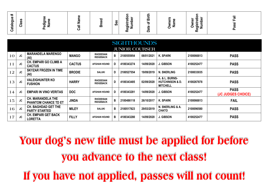| $\ddot{\phantom{1}}$<br>$\mathbf{Q}$<br>talogu<br>යි | ഗ<br>ä<br>ပ | лı<br>တ<br>$\equiv$<br>ത<br>œ<br>∼ | m | ě<br>ၯ | ື<br>ᢆ<br>$\sim$ | $\overline{\phantom{0}}$<br>B<br>$\sim$<br>മ | Œ.<br>₽<br>- | ്ധ<br>-<br>ത<br>c<br>$\equiv$<br>ഗ<br>ပ<br>దా —<br>∼<br>œ | $\overline{\phantom{a}}$ |
|------------------------------------------------------|-------------|------------------------------------|---|--------|------------------|----------------------------------------------|--------------|-----------------------------------------------------------|--------------------------|
|                                                      |             |                                    |   |        |                  | _                                            |              |                                                           |                          |

|    |           |                                                         |               |                                      |   | <b>SIGHTHOUNDS</b>    |            |                                                                            |            |                                   |
|----|-----------|---------------------------------------------------------|---------------|--------------------------------------|---|-----------------------|------------|----------------------------------------------------------------------------|------------|-----------------------------------|
|    |           |                                                         |               |                                      |   | <b>JUNIOR COURSER</b> |            |                                                                            |            |                                   |
| 10 | JC        | <b>MARANDELA MARENGO</b><br>(AI)                        | <b>MANGO</b>  | <b>RHODESIAN</b><br><b>RIDGEBACK</b> | B | 2100555954            | 08/01/2021 | K. SPARK                                                                   | 2100066813 | <b>PASS</b>                       |
| 11 | <b>JC</b> | <b>CH. EMPARI GO CLIMB A</b><br><b>CACTUS</b>           | <b>CACTUS</b> | <b>AFGHAN HOUND</b>                  | Ð | 4100343274            | 14/09/2020 | <b>J. GIBSON</b>                                                           | 4100252477 | <b>PASS</b>                       |
| 12 | <b>JC</b> | <b>SKYZAR FROZEN IN TIME</b><br>(AI)                    | <b>BRODIE</b> | <b>SALUKI</b>                        | D | 2100527554            | 19/09/2019 | N. SNERLING                                                                | 2100033035 | <b>PASS</b>                       |
| 13 | <b>JC</b> | <b>VALEIGHUNTER KO</b><br><b>FUSHION</b>                | <b>HARRY</b>  | <b>RHODESIAN</b><br><b>RIDGEBACK</b> | D | 4100343485            | 02/09/2020 | <b>A. &amp; L. BURNS-</b><br><b>HUTCHINSON &amp; D.</b><br><b>MITCHELL</b> | 4100267878 | <b>PASS</b>                       |
| 14 | <b>JC</b> | <b>EMPARI IN VINO VERITAS</b>                           | <b>DOC</b>    | <b>AFGHAN HOUND</b>                  | Ð | 4100343281            | 14/09/2020 | <b>J. GIBSON</b>                                                           | 4100252477 | <b>PASS</b><br>(JC JUDGES CHOICE) |
| 15 | <b>JC</b> | <b>CH. MARANDELA THE</b><br><b>PHANTOM CHANCE TD ET</b> | <b>JINDA</b>  | <b>RHODEISAN</b><br><b>RIDGEBACK</b> | B | 2100486118            | 26/10/2017 | <b>K. SPARK</b>                                                            | 2100066813 | <b>FAIL</b>                       |
| 16 | <b>JC</b> | <b>CH. BAGHDAD GET THE</b><br><b>PARTY STARTED</b>      | <b>MILEY</b>  | <b>SALUKI</b>                        | B | 2100517823            | 29/03/2019 | N. SNERLING & A.<br><b>CHATO</b>                                           | 2100096580 | <b>PASS</b>                       |
| 17 | JC        | <b>CH. EMPARI GET BACK</b><br><b>LORETTA</b>            | <b>FILLY</b>  | <b>AFGHAN HOUND</b>                  | B | 4100343280            | 14/09/2020 | <b>J. GIBSON</b>                                                           | 4100252477 | <b>PASS</b>                       |

Your dog's new title must be applied for before you advance to the next class!

If you have not applied, passes will not count!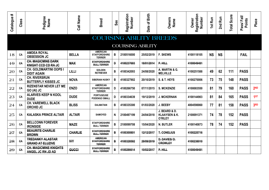| #<br>Catalogue | Class     | Pedigree<br>Name                                        | Call Name      | <b>Breed</b>                                              | Sex | Registration<br>Number         | Date of Birth | Owners<br>Name                                              | Registration<br>Number<br>Owner | 1st Run   | 2nd Run   | Score<br>Total: | Pass/Fail/<br>Points | Place           |
|----------------|-----------|---------------------------------------------------------|----------------|-----------------------------------------------------------|-----|--------------------------------|---------------|-------------------------------------------------------------|---------------------------------|-----------|-----------|-----------------|----------------------|-----------------|
|                |           |                                                         |                |                                                           |     | <b>COURSING ABILITY BREEDS</b> |               |                                                             |                                 |           |           |                 |                      |                 |
|                |           |                                                         |                |                                                           |     | <b>COURSING ABILITY</b>        |               |                                                             |                                 |           |           |                 |                      |                 |
| 18             | CA        | <b>AMDEA ROYAL</b><br><b>OBSESSION JC</b>               | <b>BELLA</b>   | <b>AMERICAN</b><br><b>STAFFORDSHIRE</b><br><b>TERRIER</b> | B   | 2100516000                     | 25/02/2019    | <b>F. SKEWS</b>                                             | 4100118105                      | <b>NS</b> | <b>NS</b> |                 | <b>FAIL</b>          |                 |
| $+9$           | <b>GA</b> | <b>CH. MAGICMINE DARK</b><br><b>KNIGHT CCD CD RA JC</b> | <b>MAX</b>     | <b>STAFFORDSHIRE</b><br><b>BULL TERRIER</b>               | Đ   | 4100237693                     | 18/01/2014    | P.HILE                                                      | 4100049481                      |           |           |                 |                      |                 |
| 20             | CA        | <b>CH. GOLDMARTINI OOPS I</b><br><b>DIDIT AGAIN</b>     | <b>LILLI</b>   | <b>GOLDEN</b><br><b>RETRIEVER</b>                         | B   | 4100342093                     | 24/08/2020    | A. MARTIN & G.<br><b>MELVILLE</b>                           | 4100251588                      | 49        | 62        | 111             | <b>PASS</b>          |                 |
| 21             | CA        | <b>CH. RIVERSRUN</b><br><b>BUTTERFLY KISSES JC</b>      | <b>NOVA</b>    | <b>SIBERIAN HUSKY</b>                                     | B   | 4100327902                     | 20/10/2019    | <b>S. &amp; T. HEYS</b>                                     | 4100270006                      | 73        | 75        | 148             | <b>PASS</b>          |                 |
| 22             | CA        | <b>RIZENSTAR NEVER LET ME</b><br>GO (AI) JC             | <b>ENZO</b>    | <b>AMERICAN</b><br><b>STAFFORDSHIRE</b><br><b>TERRIER</b> | D   | 4100266750                     | 07/11/2015    | <b>S. MCKENZIE</b>                                          | 4100083550                      | 81        | 79        | 160             | <b>PASS</b>          | 2 <sub>ND</sub> |
| 23             | CA        | <b>ALARVES KEEP N KOOL</b><br><b>DUDE</b>               | <b>DUDE</b>    | <b>PORTUGEUSE</b><br><b>PODENGO SMALL</b>                 | D   | 4100334639                     | 19/12/2019    | <b>J. MCKERNAN</b>                                          | 4100144903                      | 81        | 84        | 165             | <b>PASS</b>          | 1ST             |
| 24             | CA        | <b>CH. VAREWELL BLACK</b><br><b>ORCHID JC</b>           | <b>BLISS</b>   | <b>DALMATIAN</b>                                          | В   | 4100335300                     | 01/03/2020    | J. BEEBY                                                    | 4004598860                      | 77        | 81        | 158             | <b>PASS</b>          | 3RD             |
| 25             | CA        | <b>KALASKA PRINCE ALTAIR</b>                            | <b>ALTAIR</b>  | <b>SAMOYED</b>                                            | N   | 2100497199                     | 24/04/2018    | J. BEARD & D.<br><b>KLAAYSEN &amp; K.</b><br><b>O'RILEY</b> | 2100091371                      | 74        | 78        | 152             | <b>PASS</b>          |                 |
| 26             | CA        | <b>BELLCONN FOREVER</b><br><b>IRONSIDE</b>              | <b>MAZE</b>    | <b>STAFFORDSHIRE</b><br><b>BULL TERRIER</b>               | B   | 2100099708                     | 15/04/2020    | <b>N. BUTLER</b>                                            | 4100140873                      | 78        | 74        | 152             | <b>PASS</b>          |                 |
| 27             | GA        | <b>BEAURITE CHARLIE</b><br><b>BROWN</b>                 | <b>CHARLIE</b> | <b>STAFFORDSHIRE</b><br><b>BULL TERRIER</b>               | B   | 4100300801                     | 12/12/2017    | <b>T. CONELIUS</b>                                          | 4100225716                      |           |           |                 |                      |                 |
| 28             | <b>CA</b> | <b>TREDANKY ALASTAR</b><br><b>GRAND AT ELUZIVE</b>      | <b>IVY</b>     | <b>AMERICAN</b><br><b>STAFFORDSHIRE</b><br><b>TERRIER</b> | B   | 4100328592                     | 29/09/2019    | D. DAVIES/D.<br><b>CROWLEY</b>                              | 4100238010                      |           |           |                 |                      |                 |
| 29             | <b>CA</b> | <b>CH. MAGICMINE KNIGHTS</b><br>ANGEL JC RN JD AD       | GUCCI          | <b>STAFFORDSHIRE</b><br><b>BULL TERRIER</b>               | B   | 4100286614                     | 10/02/2017    | P.HILL                                                      | 4100049481                      |           |           |                 |                      |                 |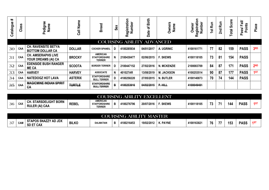| #<br>Catalogue | ဖာ<br>Clas | Pedigree<br>Name                                      | Name<br>$\overline{\overline{3}}$ | <b>Breed</b>                                              | Sex | Ξ.<br>egistration<br>Number<br>œ | Birth<br>৳<br>Date | <b>Owners</b><br>Name | Registration<br>Number<br>Owner | <b>Run</b><br>15 <sub>1</sub> | <b>Run</b><br>2 <sub>nd</sub> | Score<br>Total | $\ddot{=}$<br><b>Points</b><br>ட்<br>ass/<br>൨ | Place           |
|----------------|------------|-------------------------------------------------------|-----------------------------------|-----------------------------------------------------------|-----|----------------------------------|--------------------|-----------------------|---------------------------------|-------------------------------|-------------------------------|----------------|------------------------------------------------|-----------------|
|                |            |                                                       |                                   |                                                           |     | <b>COURSING ABILITY ADVANCED</b> |                    |                       |                                 |                               |                               |                |                                                |                 |
| 30             | CAA        | <b>CH. RAVENSITE BETYA</b><br><b>BOTTOM DOLLAR CA</b> | <b>DOLLAR</b>                     | <b>COCKER SPANEIL</b>                                     |     | 4100285934                       | 04/01/2017         | A. UGRINIC            | 4100161771                      | 77                            | 82                            | 159            | <b>PASS</b>                                    | 3 <sub>RD</sub> |
| 31             | CAA        | <b>CH. AMSERAPHS LIVE</b><br>YOUR DREAMS (AI) CA      | <b>BROCKY</b>                     | <b>AMERICAN</b><br><b>STAFFORDSHIRE</b><br><b>TERRIER</b> |     | 2100430477                       | 02/06/2015         | <b>F. SKEWS</b>       | 4100118105                      | 73                            | 81                            | 154            | <b>PASS</b>                                    |                 |
| 32             | CAA        | <b>EDENSIDE BUSH RANGER</b><br><b>MECA</b>            | <b>SCOOTA</b>                     | <b>BORDER TERRIER</b>                                     |     | 2100447152                       | 27/02/2016         | <b>N. MCKENZIE</b>    | 2100083709                      | 84                            | 87                            | 171            | <b>PASS</b>                                    | 2 <sub>ND</sub> |
| 33             | CAA        | <b>HARVEY</b>                                         | <b>HARVEY</b>                     | <b>ASSOCIATE</b>                                          | N   | 401027AR                         | 13/08/2019         | <b>M. JACKSON</b>     | 4100253514                      | 90                            | 87                            | 177            | <b>PASS</b>                                    | 1ST             |
| 34             | CAA        | <b>NATEDOGZ HOT LAVA</b>                              | <b>ASTERIX</b>                    | <b>STAFFORDSHIRE</b><br><b>BULL TERRIER</b>               | D   | 4100258220                       | 27/05/2015         | <b>N. BUTLER</b>      | 4100140873                      | 70                            | 74                            | 144            | <b>PASS</b>                                    |                 |
| 35             | GAA        | <b>MAGICMINE INDIAN SPIRIT</b><br><b>CA</b>           | <b>TURTLE</b>                     | <b>STAFFORDSHIRE</b><br><b>BULL TERRIER</b>               | В   | 4100253916                       | 04/02/2015         | P.HILL                | 4100049481                      |                               |                               |                |                                                |                 |

|    |                         |                                                      |              | COURSING!                                                 | <b>JTY</b><br><b>ABII</b> | EXCEI      | ENT<br>JH    |            |     |     |             |    |
|----|-------------------------|------------------------------------------------------|--------------|-----------------------------------------------------------|---------------------------|------------|--------------|------------|-----|-----|-------------|----|
| 36 | $\sim$ AV<br><b>GAZ</b> | I. STARSDELIGHT BORN<br>CH.<br><b>RULER (AI) CAA</b> | <b>REBEI</b> | <b>AMERICAN</b><br><b>STAFFORDSHIRE</b><br><b>TERRIER</b> | 4100276796                | 20/07/2016 | <b>SKEWS</b> | 4100118105 | - - | 144 | <b>PASS</b> | 15 |

|    |                                    | <b>LITY MASTER</b><br><b>COURSING</b><br><b>ABII</b>    |              |                  |   |            |            |                 |           |    |    |     |             |            |  |
|----|------------------------------------|---------------------------------------------------------|--------------|------------------|---|------------|------------|-----------------|-----------|----|----|-----|-------------|------------|--|
| 37 | $\sim$ $\sim$ $\sim$<br><b>CAM</b> | ZZY AD JDX<br><b>STAPOS SNAZZ1.</b><br><b>SD ET CAX</b> | <b>BILKO</b> | <b>DALMATIAN</b> | в | 4100216453 | 19/02/2012 | <b>K. PAYNE</b> | 410016382 | 76 | -- | 153 | <b>PASS</b> | <b>4ST</b> |  |